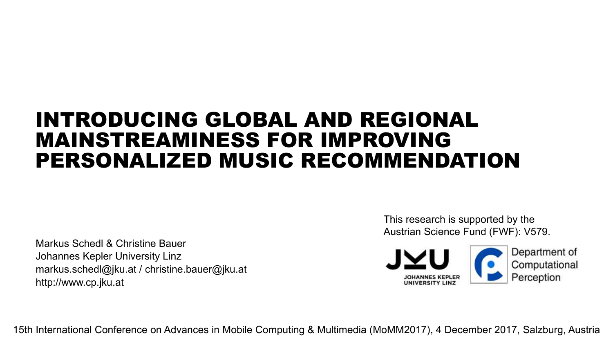## INTRODUCING GLOBAL AND REGIONAL MAINSTREAMINESS FOR IMPROVING PERSONALIZED MUSIC RECOMMENDATION

Markus Schedl & Christine Bauer Johannes Kepler University Linz markus.schedl@jku.at / christine.bauer@jku.at http://www.cp.jku.at

This research is supported by the Austrian Science Fund (FWF): V579.



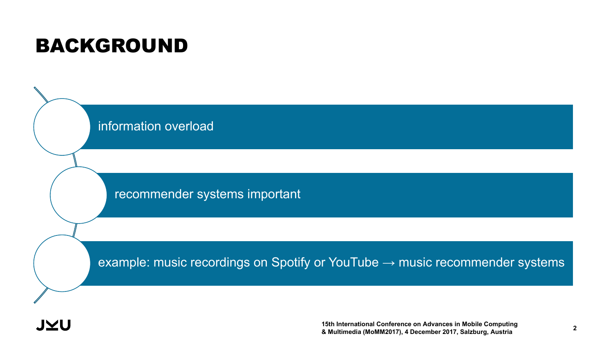## BACKGROUND

information overload

recommender systems important

example: music recordings on Spotify or YouTube  $\rightarrow$  music recommender systems

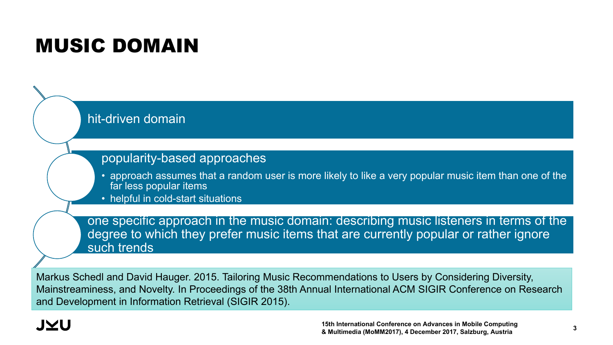## MUSIC DOMAIN



Markus Schedl and David Hauger. 2015. Tailoring Music Recommendations to Users by Considering Diversity, Mainstreaminess, and Novelty. In Proceedings of the 38th Annual International ACM SIGIR Conference on Research and Development in Information Retrieval (SIGIR 2015).

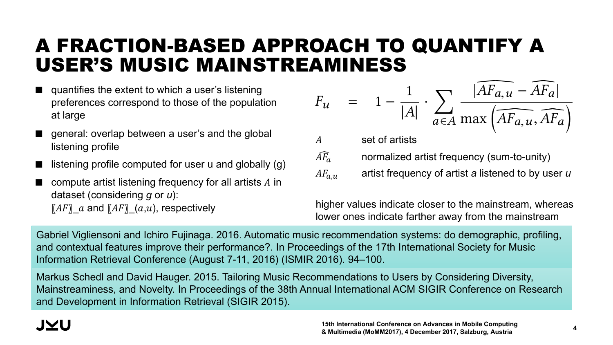#### A FRACTION-BASED APPROACH TO QUANTIFY A USER'S MUSIC MAINSTREAMINESS *ranks* (*PP<sup>u</sup>* ),*ranks* (2)

- $\blacksquare$  quantifies the extent to which a user's listening a section of the target user and those of the population preferences correspond to those of the population at large  $\blacksquare$  entire population of listensies, and on an individual scale, containing the sum of large sum of listening events to tracks by artist  $\alpha$  listening  $\alpha$  are artist  $\alpha$  listened to by users and the sum of listening  $\alpha$  listening  $\alpha$  listening  $\alpha$  listening  $\alpha$  listening  $\alpha$  listen  $\alpha$  li
- general: overlap between a user's and the global<br>listening profile listening profile
- etoning profile<br>■ listening profile computed for user u and globally (g)
- compute artist listening frequency for all artists  $\Lambda$  in dataset (considering g or u):  $\llbracket AF \rrbracket\_a$  and  $\llbracket AF \rrbracket\_ (a,u),$  respectively the dataset<br>and dataset under consideration.<br>1990 - Consideration.

$$
F_u = 1 - \frac{1}{|A|} \cdot \sum_{a \in A} \frac{|\widehat{AF_{a,u}} - \widehat{AF_a}|}{\max(\widehat{AF_{a,u}}, \widehat{AF_a})}
$$

 $\widehat{AF_{a}}$  normalized artist frequency (sum-to-unity) A set of artists  $AF_{a,u}$  artist frequency of artist *a* listened to by user  $u$ 

higher values indicate closer to the mainstream, whereas lower ones indicate farther away from the mainstream

Gabriel Vigliensoni and Ichiro Fujinaga. 2016. Automatic music recommendation systems: do demographic, profiling, and contextual features improve their performance?. In Proceedings of the 17th International Society for Music<br>Information Retrieval Conference (August 7-11, 2016) (ISMIR 2016). 94–100. Information Retrieval Conference (August 7-11, 2016) (ISMIR 2016). 94–100.

Markus Schedl and David Hauger. 2015. Tailoring Music Recommendations to Users by Considering Diversity, Mainstreaminess, and Novelty. In Proceedings of the 38th Annual International ACM SIGIR Conference on Research and Development in Information Retrieval (SIGIR 2015).  $\mathcal{L}_{\mathcal{A}}$  , user-artist-player-artist-player-artist-player-artist-player-artist-player-artist-player-artist-player-artist-player-artist-player-artist-player-artist-player-artist-player-artist-player-artist-player-art

over all artists in the dataset.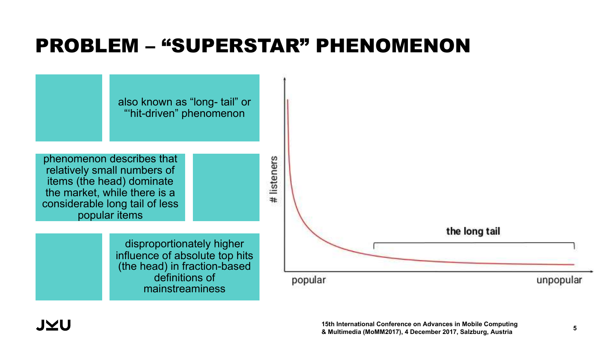## PROBLEM – "SUPERSTAR" PHENOMENON

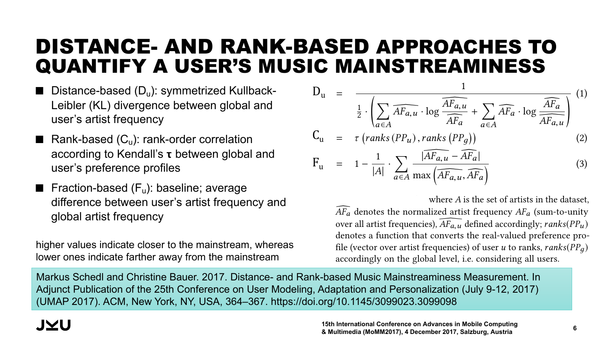#### DISTANCE- AND RANK-BASED APPROACHES TO QUANTIFY A USER'S MUSIC MAINSTREAMINESS the mentioned disproportionate privileging of top music items by and the symmetrized KL divergences in order to be consistent in order to be consistent in order to be consistent in order to be consistent in order to be consistent in  $\mathcal{L}_1$ STANCE- AND RANK-BASED APPROACHES TO ones indicate farther away from the mainstream. they reference to the fact that there is a high concentration of JAN I IF Y A USEK'S MUSI

- $\blacksquare$  Distance-based (D<sub>u</sub>): symmetrized Kullback-Leibler (KL) divergence between global and user's artist frequency  $\frac{1}{2}$  are  $\frac{1}{2}$ . User manners is the search  $\frac{1}{2}$ and a list nequency
- **Pank-based**  $(C_u)$ **: rank-order correlation** according to Kendall's **t** between global and to the target with the target user growth and user's preference profiles the sum of the sum of the sum of the sum of the sum of the sum of the sum of the sum of the sum of the sum of the sum of the sum of the sum of the sum of the sum of the sum of the sum of the sum of the sum of the sum of th coording to reductive trouwoon grobal and ser s preference profiles
- **Figure 10 Fraction-based (F<sub>u</sub>): baseline; average Property** difference between user's artist frequency and global artist frequency and the data set of the data set of the data set of the data set of the data set of the data set of the data set of the data set of the data set of the data set of the data set of the data set of th Computing the artist frequencies for all artists listened to results the process is the process in the process is recommended to popularity-based recommendation. Such a such a such  $p$  popularity-based  $p$  and  $p$  in the set  $p$  and  $p$

higher values indicate closer to the mainstream, whereas my for value maleate electrice to the mallet call, whereas<br>lower ones indicate farther away from the mainstream this representation of a user's original artist frequencies as  $\frac{1}{2}$ mainstream in the analyze the mainstreamness (spelled "mainstreamness" in  $[27]$ lower ones indicate farther away from the mainstream

$$
D_{u} = \frac{1}{\frac{1}{2} \cdot \left( \sum_{a \in A} \overline{AF_{a,u}} \cdot \log \frac{\overline{AF_{a,u}}}{\overline{AF_{a}}} + \sum_{a \in A} \overline{AF_{a}} \cdot \log \frac{\overline{AF_{a}}}{\overline{AF_{a,u}}} \right)} \quad (1)
$$
\n
$$
C_{u} = \tau \left( \text{ranks} \left( PP_{u} \right), \text{ranks} \left( PP_{g} \right) \right) \quad (2)
$$
\n
$$
F_{u} = 1 - \frac{1}{|A|} \cdot \sum_{a \in A} \frac{|\overline{AF_{a,u}} - \overline{AF_{a}|}}{\max \left( \overline{AF_{a,u}}, \overline{AF_{a}} \right)} \quad (3)
$$

 $\leftarrow$  where *A* is the set of artists in the dataset,  $AF<sub>a</sub>$  denotes the normalized artist frequency  $AF<sub>a</sub>$  (sum-to-unity form an artist requencies),  $\sum a_i u$  defined accordingly,  $\sum a_i u$  denotes a function that converts the real-valued preference profile (vector over artist frequencies) of user *u* to ranks, *ranks*( $PP_g$ ) accordingly on the global level, i.e. considering all users. over all artist frequencies),  $\overline{AF_{a,u}}$  defined accordingly;  $ranks(PP_u)$ 

*Markus Schedl and Christine Bauer. 2017. Distance- and Rank-based Music Mainstreaminess Measurement. In* Adjunct Publication of the 25th Conference on User Modeling, Adaptation and Personalization (July 9-12, 2017) (UMAP 2017). ACM, New York, NY, USA, 364–367. https://doi.org/10.1145/3099023.3099098 we analyze the performance of a model-based collaboration  $\frac{1}{2}$ Ing Schedl and Christine Bauer. 2017. Distance- and Rank-based Music Mainstreaminess Measurement. In nct Publication of the 25th Conference on User Modeling AP 2017), ACM, New York, NY, USA, 364-367, https://do proposing a distance- and a rank-based music mainstreaminess note that we invertible the results of the fraction-based formulation-based for the fraction-based formulation- $\mathcal{L}$  and the symmetrized KL divergences in order to be consistent in  $\mathcal{L}$  $\mu$ that higher values indicate close to the main stream, where  $\mu$ ones indicate farther away from the mainstream.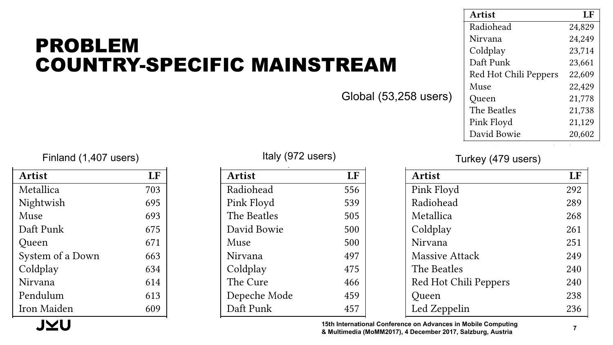#### PROBLEM COUNTRY-SPECIFIC MAINSTREAM <u>AAIINERVA</u> COUN I KT-9  $\bullet$  beatles from  $\bullet$ PUNIN JI KE

|                       | <b>Artist</b>         | LF     |
|-----------------------|-----------------------|--------|
|                       | Radiohead             | 24,829 |
|                       | Nirvana               | 24,249 |
|                       | Coldplay              | 23,714 |
| IC MAINSTREAM         | Daft Punk             | 23,661 |
|                       | Red Hot Chili Peppers | 22,609 |
|                       | Muse                  | 22,429 |
| Global (53,258 users) | Queen                 | 21,778 |
|                       | The Beatles           | 21,738 |
|                       | Pink Floyd            | 21,129 |
|                       | David Bowie           | 20,602 |

Muse 69,507 Finland (1,407 users) Turkey (479 users) Italy (972 users) Turkey (479 users)

| Artist           | LF  |
|------------------|-----|
| Metallica        | 703 |
| Nightwish        | 695 |
| Muse             | 693 |
| Daft Punk        | 675 |
| Queen            | 671 |
| System of a Down | 663 |
| Coldplay         | 634 |
| Nirvana          | 614 |
| Pendulum         | 613 |
| Iron Maiden      | 609 |

J $\times$ l

 $\frac{1}{2}$  $T_{\text{t}}(072 \cdot 100 \text{ m})$ 

| ers) |               | $ U(0)  \leq U(1)$ |  |  |
|------|---------------|--------------------|--|--|
| LF   | <b>Artist</b> | LF                 |  |  |
| 703  | Radiohead     | 556                |  |  |
| 695  | Pink Floyd    | 539                |  |  |
| 693  | The Beatles   | 505                |  |  |
| 675  | David Bowie   | 500                |  |  |
| 671  | Muse          | 500                |  |  |
| 663  | Nirvana       | 497                |  |  |
| 634  | Coldplay      | 475                |  |  |
| 614  | The Cure      | 466                |  |  |
| 613  | Depeche Mode  | 459                |  |  |
| 609  | Daft Punk     | 457                |  |  |

#### Depeche Mode 25,075 Turkey (479 users)

| <b>Artist</b>         | LF  |
|-----------------------|-----|
| Pink Floyd            | 292 |
| Radiohead             | 289 |
| Metallica             | 268 |
| Coldplay              | 261 |
| Nirvana               | 251 |
| <b>Massive Attack</b> | 249 |
| The Beatles           | 240 |
| Red Hot Chili Peppers | 240 |
| Queen                 | 238 |
| Led Zeppelin          | 236 |

15th International Conference on Advances in Mobile Computing<br>& Multimedia (MoMM2017), 4 December 2017, Salzburg, Austria **& Multimedia (MoMM2017), 4 December 2017, Salzburg, Austria <sup>7</sup>** & Multimedia (MOMM2017), 4 December 2017, Salzburg, Austria ا 15th ا<br>Mulk & Mul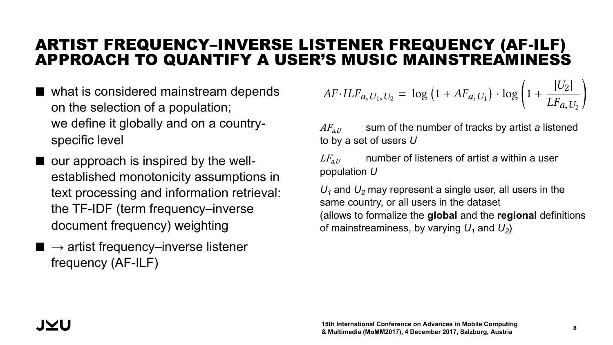#### ARTIST FREQUENCY–INVERSE LISTENER FREQUENCY (AF-ILF) APPROACH TO QUANTIFY A USER'S MUSIC MAINSTREAMINESS de!ne *AF* ·*ILFa*,*U*1,*U*<sup>2</sup> as in Equation 1. We set *AF* ·*ILFa*,*U*1,*U*<sup>2</sup> *LI*JIE<br>CED*I*C I

- $\blacksquare$  what is considered mainstream depends on the selection of a population; we define it globally and on a countryspecific level
- $\blacksquare$  our approach is inspired by the wellestablished monotonicity assumptions in text processing and information retrieval: the TF-IDF (term frequency–inverse document frequency) weighting
- $\blacksquare \rightarrow$  artist frequency–inverse listener frequency (AF-ILF)

$$
AF \cdot ILF_{a, U_1, U_2} = \log (1 + AF_{a, U_1}) \cdot \log \left( 1 + \frac{|U_2|}{LF_{a, U_2}} \right)
$$

 $AF_{a,U}$  sum of the number of tracks by artist a listened to by a set of users  $U$  and dataset. The data set of users  $\bar{U}$ 

 $LF_{a,U}$  and mumber of listeners of artist a within a user population *U* 

 $U_1$  and  $U_2$  may represent a single user, all users in the same country, or all users in the dataset (allows to formalize the **global** and the **regional** definitions of mainstreaminess, by varying  $U_1$  and  $U_2$ )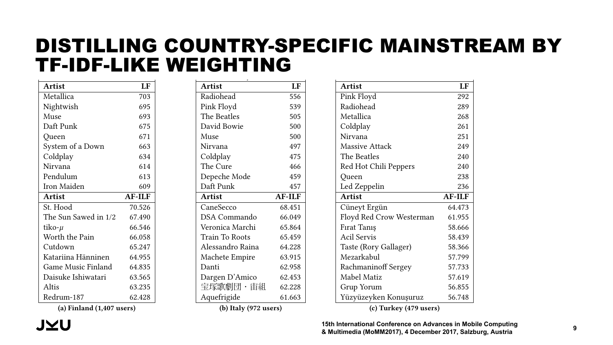#### DISTILLING COUNTRY-SPECIFIC MAINSTREAM BY TF-IDF-LIKE WEIGHTING  $\overline{\phantom{a}}$ NSTILLING I F-IDF-LIKI  $\overline{\phantom{a}}$ JNTRY-SP -----------<br>-**----------**IGH ING 1  $\frac{1}{\sqrt{2}}$  at a than  $\frac{1}{\sqrt{2}}$ FIC MAINSTI Opeth 25,744

| <b>Artist</b>             | LF            |
|---------------------------|---------------|
| Metallica                 | 703           |
| Nightwish                 | 695           |
| Muse                      | 693           |
| Daft Punk                 | 675           |
| Queen                     | 671           |
| System of a Down          | 663           |
| Coldplay                  | 634           |
| Nirvana                   | 614           |
| Pendulum                  | 613           |
| Iron Maiden               | 609           |
|                           |               |
| <b>Artist</b>             | <b>AF-ILF</b> |
| St. Hood                  | 70.526        |
| The Sun Sawed in 1/2      | 67.490        |
| tiko-µ                    | 66.546        |
| Worth the Pain            | 66.058        |
| Cutdown                   | 65.247        |
| Katariina Hänninen        | 64.955        |
| <b>Game Music Finland</b> | 64.835        |
| Daisuke Ishiwatari        | 63.565        |
| Altis                     | 63.235        |

| <b>Artist</b>         | LF            |
|-----------------------|---------------|
| Radiohead             | 556           |
| Pink Floyd            | 539           |
| The Beatles           | 505           |
| David Bowie           | 500           |
| Muse                  | 500           |
| Nirvana               | 497           |
| Coldplay              | 475           |
| The Cure              | 466           |
| Depeche Mode          | 459           |
| Daft Punk             | 457           |
| <b>Artist</b>         | <b>AF-ILF</b> |
| CaneSecco             | 68.451        |
| <b>DSA</b> Commando   | 66.049        |
| Veronica Marchi       | 65.864        |
| <b>Train To Roots</b> | 65.459        |
| Alessandro Raina      | 64.228        |
| Machete Empire        | 63.915        |
| Danti                 | 62.958        |
| Dargen D'Amico        | 62.453        |
| 宝塚歌劇団・宙組              | 62.228        |
| Aquefrigide           | 61.663        |

| Pink Floyd                 | 292           |
|----------------------------|---------------|
| Radiohead                  | 289           |
| Metallica                  | 268           |
| Coldplay                   | 261           |
| Nirvana                    | 251           |
| <b>Massive Attack</b>      | 249           |
| The Beatles                | 240           |
| Red Hot Chili Peppers      | 240           |
| Queen                      | 238           |
| Led Zeppelin               | 236           |
| <b>Artist</b>              | <b>AF-ILF</b> |
| Cüneyt Ergün               | 64.473        |
| Floyd Red Crow Westerman   | 61.955        |
| Firat Taniş                | 58.666        |
| <b>Acil Servis</b>         | 58.439        |
| Taste (Rory Gallager)      | 58.366        |
| Mezarkabul                 | 57.799        |
| <b>Rachmaninoff Sergey</b> | 57.733        |
| Mabel Matiz                | 57.619        |
| Grup Yorum                 | 56.855        |
| Yüzyüzeyken Konuşuruz      | 56.748        |
| (c) Turkey (479 users)     |               |

Artist LF

(a) Finland (1,407 users)

(b) Italy (972 users)

**Table 2: Top artists for selected conference on Advances in Mobile Computing artists for selected contributions & Multimedia (MoMM2017), 4 December 2017, Salzburg, Austria <sup>9</sup>**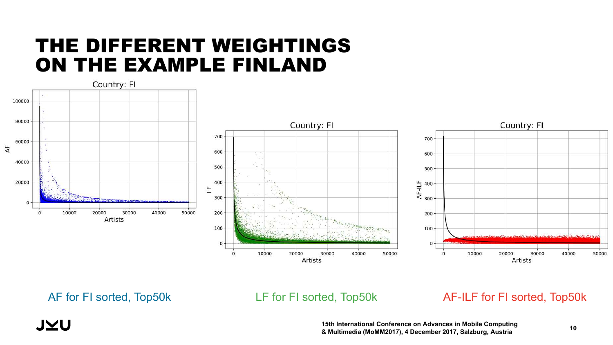### THE DIFFERENT WEIGHTINGS ON THE EXAMPLE FINLAND



**JYU** 

#### AF for FI sorted, Top50k LF for FI sorted, Top50k AF-ILF for FI sorted, Top50k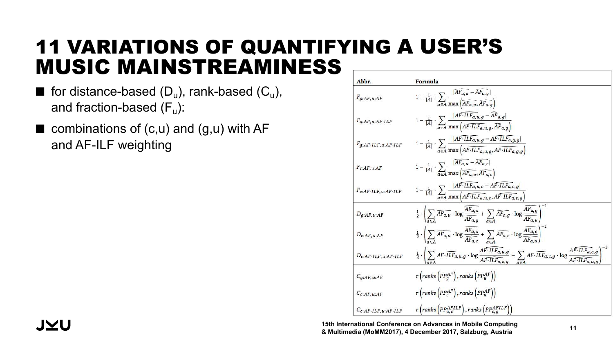## 11 VARIATIONS OF QUANTIFYING A USER'S MUSIC MAINSTREAMINESS

- **for distance-based (D<sub>u</sub>)**, rank-based (C<sub>u</sub>), and fraction-based  $(F_u)$ :
- $\blacksquare$  combinations of (c,u) and (g,u) with AF and AF-ILF weighting

| Abbr.                               | Formula                                                                                                                                                                                                                                |
|-------------------------------------|----------------------------------------------------------------------------------------------------------------------------------------------------------------------------------------------------------------------------------------|
| $F_{q:AF, u:AF}$                    | $1 - \frac{1}{ A } \cdot \sum_{a \in A} \frac{ A F_{a,u} - \overline{A} F_{a,g} }{\max\left(\overline{A F_{a,u}, \overline{A F_{a,g}}}\right)}$                                                                                        |
| $F_{g:AF, u:AF\cdot ILF}$           | $1 - \frac{1}{ A } \cdot \sum_{a \in A} \frac{ AF \cdot ILF_{a,u,g} - \overline{AF}_{a,g} }{\max (AF \cdot ILF_{a,u,g}, \overline{AF}_{a,g})}$                                                                                         |
| $F_{g:AF\cdot ILF, u:AF\cdot ILF}$  | $1 - \frac{1}{ A } \cdot \sum_{a \in A} \frac{ AF \cdot ILF_{a,u,g} - AF \cdot ILF_{a,g,g} }{\max (AF \cdot ILF_{a,u,g}, AF \cdot ILF_{a,g,g})}$                                                                                       |
| $F_{c:AF, u:AF}$                    | $1 - \frac{1}{ A } \cdot \sum_{a \in A} \frac{ AF_{a,u} - AF_{a,c} }{\max\left(\overline{AF_{a,u}}, \overline{AF_{a,c}}\right)}$                                                                                                       |
| $F_{c:AF\cdot ILF, u:AF\cdot ILF}$  | $1 - \frac{1}{ A } \cdot \sum_{a \in A} \frac{ AF \cdot ILFa, u, c - AF \cdot ILFa, c, g }{\max (AF \cdot ILFa, u, c, AF \cdot ILFa, c, g)}$                                                                                           |
| $D_{q:AF, u:AF}$                    | $\frac{1}{2} \cdot \left( \sum_{a \in A} \overline{AF_{a,u}} \cdot \log \frac{\overline{AF_{a,u}}}{\overline{AF_{a,a}}} + \sum_{a \in A} \overline{AF_{a,g}} \cdot \log \frac{\overline{AF_{a,g}}}{\overline{AF_{a,u}}} \right)^{-1}$  |
| $D_{c:AF, u:AF}$                    | $\frac{1}{2} \cdot \left( \sum_{a \in A} \overline{AF_{a,u}} \cdot \log \frac{\overline{AF_{a,u}}}{\overline{AF_{a,c}}} + \sum_{c \in A} \overline{AF_{a,c}} \cdot \log \frac{\overline{AF_{a,c}}}{\overline{AF_{c,c}}} \right)^{-1}$  |
| $D_{c:AF\cdot ILF, u:AF\cdot ILF}$  | $\frac{1}{2} \cdot \left( \sum_{a \in A} AF \cdot ILF_{a,u,g} \cdot \log \frac{AF \cdot ILF_{a,u,g}}{AF \cdot ILF_{a,c,g}} + \sum_{a \in A} AF \cdot ILF_{a,c,g} \cdot \log \frac{AF \cdot ILF_{a,c,g}}{AF \cdot ILF_{a,u,g}} \right)$ |
| $C_{q:AF, u:AF}$                    | $\tau$ (ranks $\left( PP_{q}^{AF}\right)$ , ranks $\left( PP_{u}^{AF}\right)$ )                                                                                                                                                        |
| $C_{c:AF, u:AF}$                    | $\tau$ (ranks $\left( PP_{c}^{AF}\right)$ , ranks $\left( PP_{u}^{AF}\right)$ )                                                                                                                                                        |
| $C_{c:AF\cdot ILF,\,u:AF\cdot ILF}$ | $\tau$ (ranks (PP $_{u,c}^{AFILF}$ ), ranks (PP $_{c,q}^{AFILF}$ ))                                                                                                                                                                    |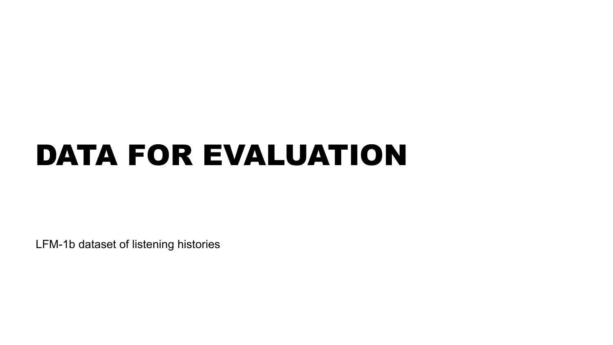# DATA FOR EVALUATION

LFM-1b dataset of listening histories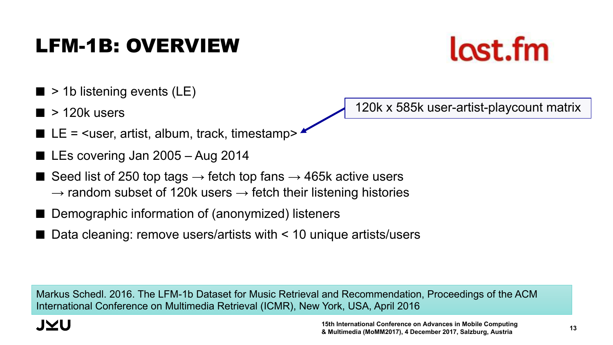#### **15th International Conference on Advances in Mobile Computing & Multimedia (MoMM2017), 4 December 2017, Salzburg, Austria <sup>13</sup>**

## LFM-1B: OVERVIEW

- $\blacksquare$  > 1b listening events (LE)
- $\blacksquare$  > 120k users
- $\blacksquare$  LE = <user, artist, album, track, timestamp>
- LEs covering Jan 2005 Aug 2014
- Seed list of 250 top tags  $\rightarrow$  fetch top fans  $\rightarrow$  465k active users  $\rightarrow$  random subset of 120k users  $\rightarrow$  fetch their listening histories
- Demographic information of (anonymized) listeners
- Data cleaning: remove users/artists with  $\leq 10$  unique artists/users

Markus Schedl. 2016. The LFM-1b Dataset for Music Retrieval and Recommendation, Proceedings of the ACM International Conference on Multimedia Retrieval (ICMR), New York, USA, April 2016



120k x 585k user-artist-playcount matrix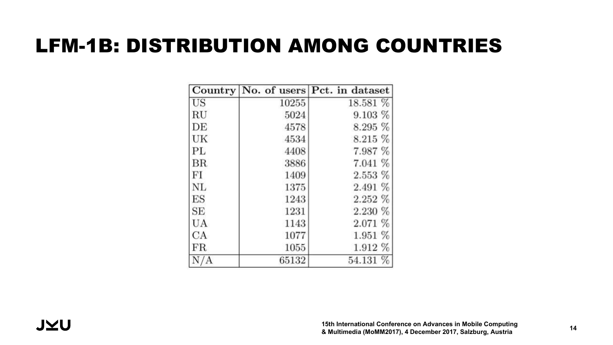## LFM-1B: DISTRIBUTION AMONG COUNTRIES

|             |       | Country No. of users Pct. in dataset |
|-------------|-------|--------------------------------------|
| US          | 10255 | 18.581 %                             |
| RU          | 5024  | 9.103%                               |
| DE          | 4578  | 8.295 %                              |
| UK          | 4534  | 8.215 %                              |
| PL          | 4408  | 7.987 %                              |
| BR          | 3886  | 7.041 %                              |
| FI          | 1409  | $2.553\%$                            |
| <b>NL</b>   | 1375  | 2.491 %                              |
| ES          | 1243  | 2.252 %                              |
| SE          | 1231  | 2.230 %                              |
| UA          | 1143  | 2.071 %                              |
| CA          | 1077  | 1.951%                               |
| $_{\rm FR}$ | 1055  | 1.912 %                              |
|             | 65132 | 54.131 %                             |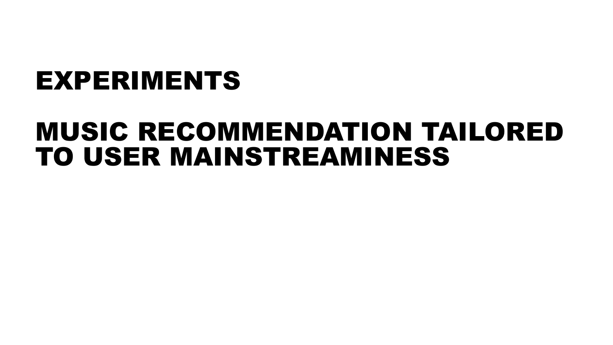# EXPERIMENTS

## MUSIC RECOMMENDATION TAILORED TO USER MAINSTREAMINESS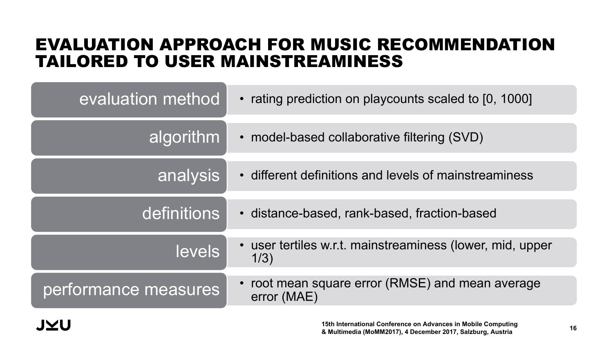### EVALUATION APPROACH FOR MUSIC RECOMMENDATION TAILORED TO USER MAINSTREAMINESS

| evaluation method    | • rating prediction on playcounts scaled to [0, 1000]             |
|----------------------|-------------------------------------------------------------------|
| algorithm            | • model-based collaborative filtering (SVD)                       |
| analysis             | • different definitions and levels of mainstreaminess             |
| definitions          | • distance-based, rank-based, fraction-based                      |
| <b>levels</b>        | • user tertiles w.r.t. mainstreaminess (lower, mid, upper<br>1/3) |
| performance measures | • root mean square error (RMSE) and mean average<br>error (MAE)   |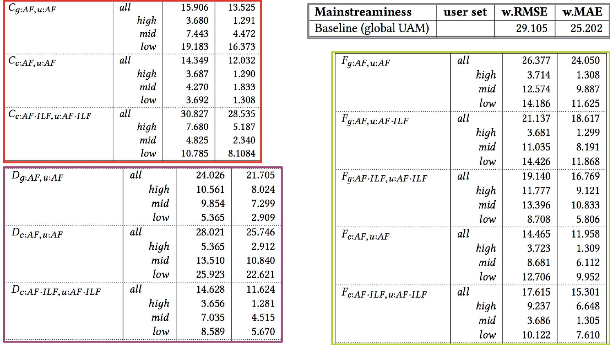| $C_{\mathfrak{g}:AF, \mathfrak{u}:AF}$ | all  | 15.906 | 13.525 |        |
|----------------------------------------|------|--------|--------|--------|
|                                        | high | 3.680  | 1.291  |        |
|                                        | mid  | 7.443  | 4.472  |        |
|                                        | low  | 19.183 | 16.373 |        |
| $C_{c:AF, u:AF}$                       | all  | 14.349 | 12.032 |        |
|                                        | high | 3.687  | 1.290  |        |
|                                        | mid  | 4.270  | 1.833  |        |
|                                        | low  | 3.692  | 1.308  |        |
| $C_{c:AF\cdot ILF, u:AF\cdot ILF}$     | all  | 30.827 | 28.535 |        |
|                                        | high | 7.680  | 5.187  |        |
|                                        | mid  | 4.825  | 2.340  |        |
|                                        | low  | 10.785 | 8.1084 |        |
| $D_{q:AF, u:AF}$                       | all  | 24.026 | 21.705 |        |
|                                        | high | 10.561 |        | 8.024  |
|                                        | mid  | 9.854  |        | 7.299  |
|                                        | low  | 5.365  |        | 2.909  |
| $D_{c:AF, u:AF}$                       | all  | 28.021 | 25.746 |        |
|                                        | high | 5.365  |        | 2.912  |
|                                        | mid  | 13.510 | 10.840 |        |
|                                        | low  | 25.923 | 22.621 |        |
| $D_{c:AF\cdot ILF,\,u:AF\cdot ILF}$    | all  | 14.628 |        | 11.624 |
|                                        | high | 3.656  |        | 1.281  |
|                                        | mid  | 7.035  |        | 4.515  |
|                                        | low  | 8.589  |        | 5.670  |

| <b>Mainstreaminess</b> | user set $\vert$ w.RMSE $\vert$ w.MAE $\vert$ |        |
|------------------------|-----------------------------------------------|--------|
| Baseline (global UAM)  | 29.105                                        | 25.202 |

| $F_{q:AF, u:AF}$                               | all  | 26.377 | 24.050 |
|------------------------------------------------|------|--------|--------|
|                                                | high | 3.714  | 1.308  |
|                                                | mid  | 12.574 | 9.887  |
|                                                | low  | 14.186 | 11.625 |
| $F_{q:AF, u:AF\cdot ILF}$                      | all  | 21.137 | 18.617 |
|                                                | high | 3.681  | 1.299  |
|                                                | mid  | 11.035 | 8.191  |
|                                                | low  | 14.426 | 11.868 |
| $F_{\mathcal{G}}:AF \cdot ILF, u:AF \cdot ILF$ | all  | 19.140 | 16.769 |
|                                                | high | 11.777 | 9.121  |
|                                                | mid  | 13.396 | 10.833 |
|                                                | low  | 8.708  | 5.806  |
| $F_{c:AF, u:AF}$                               | all  | 14.465 | 11.958 |
|                                                | high | 3.723  | 1.309  |
|                                                | mid  | 8.681  | 6.112  |
|                                                | low  | 12.706 | 9.952  |
| $F_{c:AF\cdot ILF, u:AF\cdot ILF}$             | all  | 17.615 | 15.301 |
|                                                | high | 9.237  | 6.648  |
|                                                | mid  | 3.686  | 1.305  |
|                                                | low  | 10.122 | 7.610  |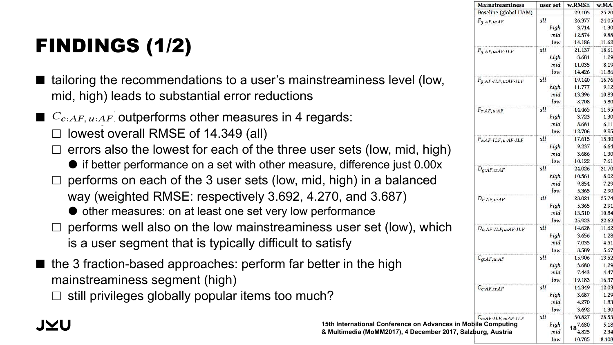#### FINDINGS (1/2)  $\blacksquare$ with a global baseline. Overall, our results suggest that incorporally suggest that incorporally suggest that incorporally  $\mathcal{L}_\mathcal{D}$

6 ACKNOWLEDGMENTS

- tailoring the recommendations to a user's mainstreaminess level (low, mid, high) leads to substantial error reductions  $\blacksquare$  tailoring the recommendations to a user's mai baseline. Combine approach component and pineline.
- $\blacksquare$   $C_{c:AF, u:AF}$  outperforms other measures in 4 regards:
- $\Box$  lowest overall RMSE of 14.349 (all)
- $\square$  errors also the lowest for each of the three user sets (low, mid, high)  $\Box$  follow of overall influence of the talenth  $\Box$  $\Box$  errors also the lowest for each of the three
- if better performance on a set with other measure, difference just 0.00x
- $\Box$  performs on each of the 3 user sets (low, mid, high) in a balanced way (weighted RMSE: respectively 3.692, 4.270, and 3.687)
- $\bullet$  other measures: on at least one set very low performance
- $\Box$  performs well also on the low mainstreaminess user set (low), which is a user segment that is typically difficult to satisfy to a user segment that is typically dimedit to

- the 3 fraction-based approaches: perform far better in the high mainstreaminess segment (high)
- $\Box$  still privileges globally popular items too much? the perceived satisfaction with representation with recommendations.

| <b>Mainstreaminess</b>               | user set | w.RMSE         | w.MA              |
|--------------------------------------|----------|----------------|-------------------|
| Baseline (global UAM)                |          | 29.105         | 25.2              |
| $F_{q:AF, u:AF}$                     | all      | 26.377         | 24.0              |
|                                      | high     | 3.714          | 1.3 <sub>1</sub>  |
|                                      | mid      | 12.574         | 9.8               |
|                                      | low      | 14.186         | 11.6              |
| $F_{\mathcal{G}:AF, u:AF\cdot ILF}$  | all      | 21.137         | 18.6              |
|                                      | high     | 3.681          | $1.2^{\circ}$     |
|                                      | mid      | 11.035         | 8.1               |
|                                      | low      | 14.426         | 11.8              |
| $F_{g:AF\cdot ILF, u:AF\cdot ILF}$   | all      | 19.140         | 16.7              |
|                                      | high     | 11.777         | 9.1               |
|                                      | mid      | 13.396         | 10.8              |
|                                      | low      | 8.708          | 5.8(              |
| $F_{c:AF, u:AF}$                     | all      | 14.465         | 11.9              |
|                                      | high     | 3.723          | 1.3 <sub>1</sub>  |
|                                      | mid      | 8.681          | 6.1               |
|                                      | low      | 12.706         | 9.9               |
| $F_{c:AF\cdot ILF,\,u:AF\cdot ILF}$  | all      | 17.615         | 15.3              |
|                                      | high     | 9.237          | 6.6 <sup>4</sup>  |
|                                      | mid      | 3.686          | 1.3(              |
|                                      | low      | 10.122         | 7.6               |
| $D_{g:AF, u:AF}$                     | all      | 24.026         | 21.7              |
|                                      | high     | 10.561         | 8.0               |
|                                      | mid      | 9.854          | $7.2^{\circ}$     |
|                                      | low      | 5.365          | 2.9 <sub>0</sub>  |
|                                      | all      | 28.021         | 25.7              |
| $D_{c:AF, u:AF}$                     | high     | 5.365          | 2.9               |
|                                      | mid      | 13.510         | 10.8 <sub>1</sub> |
|                                      | low      | 25.923         | 22.6              |
|                                      | all      | 14.628         | 11.6              |
| $D_{c:AF \cdot ILF, u:AF \cdot ILF}$ |          |                |                   |
|                                      | high     | 3.656          | 1.2 <sub>i</sub>  |
|                                      | mid      | 7.035<br>8.589 | 4.5               |
|                                      | low      |                | 5.6               |
| $C_{\mathfrak{q}:AF, u:AF}$          | all      | 15.906         | 13.5              |
|                                      | high     | 3.680          | $1.2^{\circ}$     |
|                                      | mid      | 7.443          | 4.4               |
|                                      | low      | 19.183         | 16.3              |
| $C_{c:AF, u:AF}$                     | all      | 14.349         | 12.0              |
|                                      | high     | 3.687          | $1.2^{\circ}$     |
|                                      | mid      | 4.270          | 1.8               |
|                                      | low      | 3.692          | 1.3 <sub>1</sub>  |
| $C_{c:AF\cdot ILF,\,u:AF\cdot ILF}$  | all      | 30.827         | 28.5              |
| n Mobile Computing                   | high     | $18^{7.680}$   | 5.1               |
| , Salzburg, Austria                  | mid      | 4.825          | 2.3 <sup>2</sup>  |
|                                      | low      | 10.785         | 8.10              |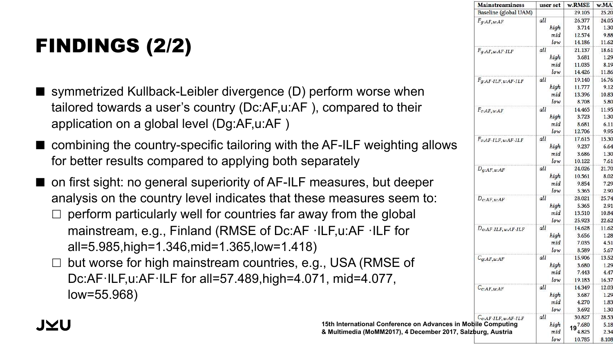## FINDINGS (2/2)

- symmetrized Kullback-Leibler divergence (D) perform worse when tailored towards a user's country (Dc:AF,u:AF ), compared to their application on a global level (Dg:AF,u:AF )
- combining the country-specific tailoring with the AF-ILF weighting allows for better results compared to applying both separately
- on first sight: no general superiority of AF-ILF measures, but deeper analysis on the country level indicates that these measures seem to:  $\Box$  perform particularly well for countries far away from the global mainstream, e.g., Finland (RMSE of Dc:AF ·ILF,u:AF ·ILF for all=5.985,high=1.346,mid=1.365,low=1.418)
	- $\Box$  but worse for high mainstream countries, e.g., USA (RMSE of Dc:AF·ILF,u:AF·ILF for all=57.489,high=4.071, mid=4.077, low=55.968)

|                                                                                                                              | <b>Mainstreaminess</b>               | user set    | w.RMSE           | w.MA        |
|------------------------------------------------------------------------------------------------------------------------------|--------------------------------------|-------------|------------------|-------------|
|                                                                                                                              | Baseline (global UAM)                |             | 29.105           | 25.2        |
|                                                                                                                              | $F_{q:AF, u:AF}$                     | all         | 26.377           | 24.0        |
|                                                                                                                              |                                      | high        | 3.714            | 1.3         |
|                                                                                                                              |                                      | mid         | 12.574           | 9.8         |
|                                                                                                                              |                                      | low         | 14.186           | 11.6        |
|                                                                                                                              | $F_q:AF, u:AF \cdot ILF$             | all         | 21.137           | 18.6        |
|                                                                                                                              |                                      | high        | 3.681            | 1.2<br>8.1  |
|                                                                                                                              |                                      | mid<br>low  | 11.035<br>14.426 | 11.8        |
|                                                                                                                              | $F_q:AF \cdot ILF, u:AF \cdot ILF$   | all         | 19.140           | 16.7        |
|                                                                                                                              |                                      | high        | 11.777           | 9.1         |
| erform worse when                                                                                                            |                                      | mid         | 13.396           | 10.8        |
|                                                                                                                              |                                      | low         | 8.708            | 5.8         |
| compared to their                                                                                                            | $F_{c:AF, u:AF}$                     | all         | 14.465           | 11.9        |
|                                                                                                                              |                                      | high        | 3.723            | 1.3         |
|                                                                                                                              |                                      | mid         | 8.681            | 6.1         |
|                                                                                                                              |                                      | low         | 12.706           | 9.9         |
|                                                                                                                              | $F_{c:AF\cdot ILF, u:AF\cdot ILF}$   | all         | 17.615           | 15.3        |
| <b>AF-ILF weighting allows</b>                                                                                               |                                      | high        | 9.237            | 6.6         |
|                                                                                                                              |                                      | mid<br>low  | 3.686            | 1.3         |
| arately                                                                                                                      |                                      | all         | 10.122<br>24.026 | 7.6<br>21.7 |
|                                                                                                                              | $D_{q:AF, u:AF}$                     | high        | 10.561           | 8.0         |
| easures, but deeper                                                                                                          |                                      | mid         | 9.854            | 7.2         |
|                                                                                                                              |                                      | low         | 5.365            | 2.9         |
| e measures seem to:                                                                                                          | $D_{c:AF, u:AF}$                     | all         | 28.021           | 25.7        |
|                                                                                                                              |                                      | high        | 5.365            | 2.9         |
| ly from the global                                                                                                           |                                      | mid         | 13.510           | 10.8        |
|                                                                                                                              |                                      | low         | 25.923           | 22.6        |
| LF,u:AF .ILF for                                                                                                             | $D_{c:AF \cdot ILF, u:AF \cdot ILF}$ | all         | 14.628           | 11.6        |
|                                                                                                                              |                                      | high        | 3.656            | 1.2         |
|                                                                                                                              |                                      | mid         | 7.035            | 4.5         |
|                                                                                                                              |                                      | low         | 8.589            | 5.6         |
| ., USA (RMSE of                                                                                                              | $C_{q:AF, u:AF}$                     | all         | 15.906           | 13.5        |
|                                                                                                                              |                                      | high<br>mid | 3.680<br>7.443   | 1.2<br>4.4  |
| 1, mid=4.077.                                                                                                                |                                      | low         | 19.183           | 16.3        |
|                                                                                                                              |                                      | all         | 14.349           | 12.0        |
|                                                                                                                              | $C_{c:AF, u:AF}$                     | high        | 3.687            | 1.2         |
|                                                                                                                              |                                      | mid         | 4.270            | 1.8         |
|                                                                                                                              |                                      | low         | 3.692            | 1.3         |
|                                                                                                                              | $C_{c:AF\cdot ILF, u:AF\cdot ILF}$   | all         | 30.827           | 28.5        |
| 15th International Conference on Advances in Mobile Computing<br>& Multimedia (MoMM2017), 4 December 2017, Salzburg, Austria |                                      |             | 197.680          | 5.1         |
|                                                                                                                              |                                      |             | 4.825            | 2.3         |
|                                                                                                                              |                                      | $I_{011}$   | 10.785           | 810         |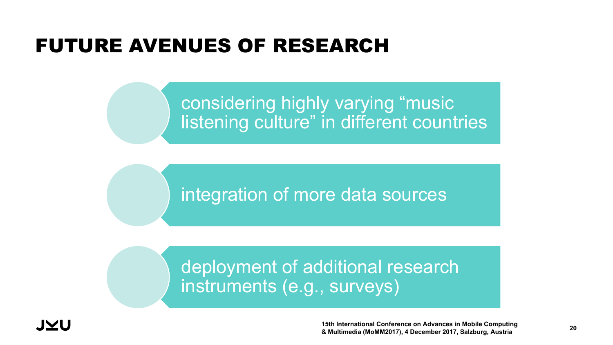## FUTURE AVENUES OF RESEARCH

### considering highly varying "music listening culture" in different countries

integration of more data sources

## deployment of additional research instruments (e.g., surveys)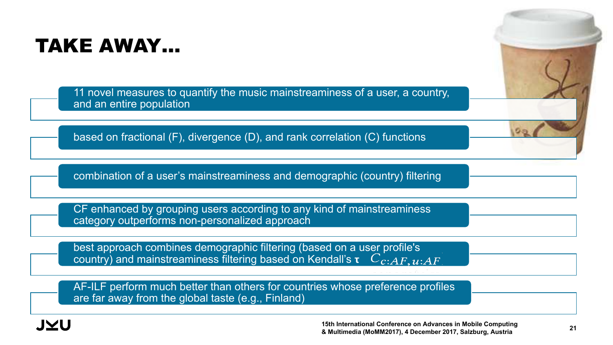## TAKE AWAY…

11 novel measures to quantify the music mainstreaminess of a user, a country, and an entire population

based on fractional (F), divergence (D), and rank correlation (C) functions

combination of a user's mainstreaminess and demographic (country) filtering

CF enhanced by grouping users according to any kind of mainstreaminess category outperforms non-personalized approach

best approach combines demographic filtering (based on a user profile's country) and mainstreaminess filtering based on Kendall's  $\tau$   $C_{c:AF, u:AF}$ 

AF-ILF perform much better than others for countries whose preference profiles are far away from the global taste (e.g., Finland)